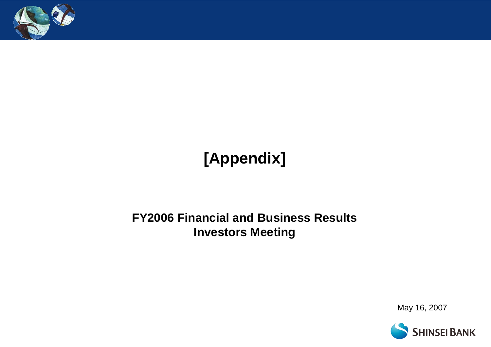

# **[Appendix]**

## **FY2006 Financial and Business Results Investors Meeting**

May 16, 2007

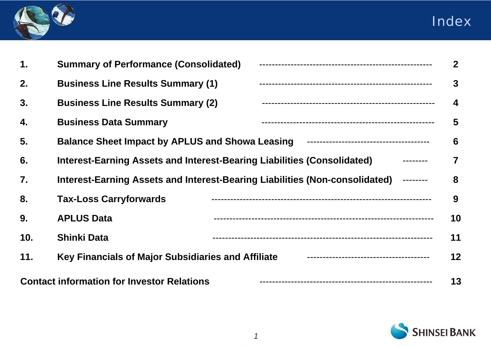



| $\mathbf 1$ . | <b>Summary of Performance (Consolidated)</b>                                        | $\overline{2}$   |
|---------------|-------------------------------------------------------------------------------------|------------------|
| 2.            | <b>Business Line Results Summary (1)</b>                                            | $\mathbf{3}$     |
| 3.            | <b>Business Line Results Summary (2)</b>                                            | $\boldsymbol{4}$ |
| 4.            | <b>Business Data Summary</b>                                                        | 5                |
| 5.            | <b>Balance Sheet Impact by APLUS and Showa Leasing</b>                              | 6                |
| 6.            | Interest-Earning Assets and Interest-Bearing Liabilities (Consolidated)             | $\overline{7}$   |
| 7.            | Interest-Earning Assets and Interest-Bearing Liabilities (Non-consolidated) ------- | 8                |
| 8.            | <b>Tax-Loss Carryforwards</b>                                                       | 9                |
| 9.            | <b>APLUS Data</b>                                                                   | 10               |
| 10.           | <b>Shinki Data</b>                                                                  | 11               |
| 11.           | Key Financials of Major Subsidiaries and Affiliate                                  | 12               |
|               | <b>Contact information for Investor Relations</b>                                   | 13               |

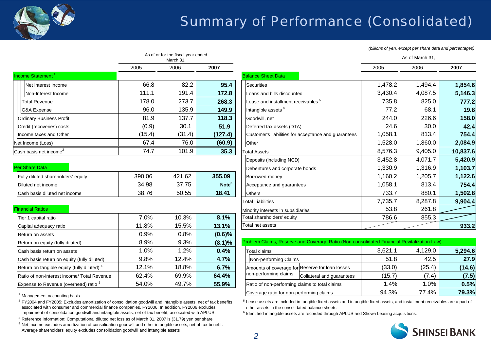

## Summary of Performance (Consolidated)

*(billions of yen, except per share data and percentages)*

|                                    | As of or for the fiscal year ended<br>March 31, |        |         |  |  |  |  |  |  |  |
|------------------------------------|-------------------------------------------------|--------|---------|--|--|--|--|--|--|--|
|                                    | 2005                                            | 2006   | 2007    |  |  |  |  |  |  |  |
| Income Statement <sup>1</sup>      |                                                 |        |         |  |  |  |  |  |  |  |
| Net Interest Income                | 66.8                                            | 82.2   | 95.4    |  |  |  |  |  |  |  |
| Non-Interest Income                | 111.1                                           | 191.4  | 172.8   |  |  |  |  |  |  |  |
| Total Revenue                      | 178.0                                           | 273.7  | 268.3   |  |  |  |  |  |  |  |
| G&A Expense                        | 96.0                                            | 135.9  | 149.9   |  |  |  |  |  |  |  |
| <b>Ordinary Business Profit</b>    | 81.9                                            | 137.7  | 118.3   |  |  |  |  |  |  |  |
| Credit (recoveries) costs          | (0.9)                                           | 30.1   | 51.9    |  |  |  |  |  |  |  |
| Income taxes and Other             | (15.4)                                          | (31.4) | (127.4) |  |  |  |  |  |  |  |
| Net Income (Loss)                  | 67.4                                            | 76.0   | (60.9)  |  |  |  |  |  |  |  |
| Cash basis net income <sup>2</sup> | 74.7                                            | 101.9  | 35.3    |  |  |  |  |  |  |  |

#### Per Share Data

| Fully diluted shareholders' equity    | 390.06 | 421.62 | 355.09            |
|---------------------------------------|--------|--------|-------------------|
| <b>IDiluted net income</b>            | 34.98  | 37.75  | Note <sup>3</sup> |
| <b>ICash basis diluted net income</b> | 38.76  | 50.55  | 18.41             |

### **Financial Ratios**

| Tier 1 capital ratio                                   | 7.0%  | 10.3% | 8.1%      | Total shareholders' equity                                                                 | 786.6   | 855.3   |
|--------------------------------------------------------|-------|-------|-----------|--------------------------------------------------------------------------------------------|---------|---------|
| Capital adequacy ratio                                 | 11.8% | 15.5% | 13.1%     | Total net assets                                                                           |         |         |
| Return on assets                                       | 0.9%  | 0.8%  | $(0.6)\%$ |                                                                                            |         |         |
| Return on equity (fully diluted)                       | 8.9%  | 9.3%  | (8.1)%    | Problem Claims, Reserve and Coverage Ratio (Non-consolidated Financial Revitalization Law) |         |         |
| Cash basis return on assets                            | 1.0%  | 1.2%  | 0.4%      | <b>Total claims</b>                                                                        | 3,621.1 | 4,129.0 |
| Cash basis return on equity (fully diluted)            | 9.8%  | 12.4% | 4.7%      | Non-performing Claims                                                                      | 51.8    | 42.5    |
| Return on tangible equity (fully diluted) <sup>4</sup> | 12.1% | 18.8% | 6.7%      | Amounts of coverage for Reserve for loan losses                                            | (33.0)  | (25.4)  |
| Ratio of non-interest income/ Total Revenue            | 62.4% | 69.9% | 64.4%     | non-performing claims<br>Collateral and guarantees                                         | (15.7)  | (7.4)   |
| Expense to Revenue (overhead) ratio 1                  | 54.0% | 49.7% | 55.9%     | Ratio of non-performing claims to total claims                                             | 1.4%    | 1.0%    |

<sup>1</sup> Management accounting basis

 $^2$  FY2004 and FY2005: Excludes amortization of consolidation goodwill and intangible assets, net of tax benefits associated with consumer and commercial finance companies. FY2006: In addition, FY2006 excludes impairment of consolidation goodwill and intangible assets, net of tax benefit, associated with APLUS.

 $3$  Reference information: Computational diluted net loss as of March 31, 2007 is (31.79) yen per share

<sup>4</sup> Net income excludes amortization of consolidation goodwill and other intangible assets, net of tax benefit. Average shareholders' equity excludes consolidation goodwill and intangible assets

|                                    |        | water or for the hough year ended<br>March 31, |                   |                                                      |         | As of March 31, |          |
|------------------------------------|--------|------------------------------------------------|-------------------|------------------------------------------------------|---------|-----------------|----------|
|                                    | 2005   | 2006                                           | 2007              |                                                      | 2005    | 2006            | 2007     |
| Income Statement <sup>1</sup>      |        |                                                |                   | <b>Balance Sheet Data</b>                            |         |                 |          |
| Net Interest Income                | 66.8   | 82.2                                           | 95.4              | <b>Securities</b>                                    | 1,478.2 | 1,494.4         | 1,854.6  |
| Non-Interest Income                | 111.1  | 191.4                                          | 172.8             | Loans and bills discounted                           | 3,430.4 | 4,087.5         | 5,146.3  |
| <b>Total Revenue</b>               | 178.0  | 273.7                                          | 268.3             | Lease and installment receivables <sup>5</sup>       | 735.8   | 825.0           | 777.2    |
| <b>G&amp;A Expense</b>             | 96.0   | 135.9                                          | 149.9             | Intangible assets <sup>6</sup>                       | 77.2    | 68.1            | 19.8     |
| <b>Ordinary Business Profit</b>    | 81.9   | 137.7                                          | 118.3             | Goodwill, net                                        | 244.0   | 226.6           | 158.0    |
| Credit (recoveries) costs          | (0.9)  | 30.1                                           | 51.9              | Deferred tax assets (DTA)                            | 24.6    | 30.0            | 42.4     |
| Income taxes and Other             | (15.4) | (31.4)                                         | (127.4)           | Customer's liabilities for acceptance and guarantees | 1,058.1 | 813.4           | 754.4    |
| Net Income (Loss)                  | 67.4   | 76.0                                           | (60.9)            | Other                                                | 1,528.0 | 1,860.0         | 2,084.9  |
| Cash basis net income $^2$         | 74.7   | 101.9                                          | 35.3              | <b>Total Assets</b>                                  | 8,576.3 | 9,405.0         | 10,837.6 |
|                                    |        |                                                |                   | Deposits (including NCD)                             | 3,452.8 | 4,071.7         | 5,420.9  |
| Per Share Data                     |        |                                                |                   | Debentures and corporate bonds                       | 1,330.9 | 1,316.9         | 1,103.7  |
| Fully diluted shareholders' equity | 390.06 | 421.62                                         | 355.09            | Borrowed money                                       | 1,160.2 | 1,205.7         | 1,122.6  |
| Diluted net income                 | 34.98  | 37.75                                          | Note <sup>3</sup> | Acceptance and guarantees                            | 1,058.1 | 813.4           | 754.4    |
| Cash basis diluted net income      | 38.76  | 50.55                                          | 18.41             | <b>Others</b>                                        | 733.7   | 880.1           | 1,502.8  |
|                                    |        |                                                |                   | <b>Total Liabilities</b>                             | 7,735.7 | 8,287.8         | 9,904.4  |
| <b>Financial Ratios</b>            |        |                                                |                   | Minority interests in subsidiaries                   | 53.8    | 261.8           |          |
| Tier 1 capital ratio               | 7.0%   | 10.3%                                          | 8.1%              | Total shareholders' equity                           | 786.6   | 855.3           |          |
| Capital adequacy ratio             | 11.8%  | 15.5%                                          | 13.1%             | Total net assets                                     |         |                 | 933.2    |

| Return on equity (fully diluted)                                        | 8.9%  | 9.3%  | (8.1)% | Problem Claims, Reserve and Coverage Ratio (Non-consolidated Financial Revitalization Law) |         |         |         |
|-------------------------------------------------------------------------|-------|-------|--------|--------------------------------------------------------------------------------------------|---------|---------|---------|
| Cash basis return on assets                                             | 0%،   | . 2%  | 0.4%   | <b>Total claims</b>                                                                        | 3.621.1 | 4,129.0 | 5,294.6 |
| Cash basis return on equity (fully diluted)                             | 9.8%  | 12.4% | 4.7%   | Non-performing Claims                                                                      | 51.8    | 42.5    | 27.9    |
| Return on tangible equity (fully diluted) <sup>4</sup>                  | 12.1% | 18.8% | 6.7%   | Amounts of coverage for Reserve for loan losses                                            | (33.0)  | (25.4)  | (14.6)  |
| Ratio of non-interest income/ Total Revenue                             | 62.4% | 69.9% | 64.4%  | non-performing claims<br>Collateral and quarantees                                         | (15.7)  | (7.4)   | (7.5)   |
| Expense to Revenue (overhead) ratio $^{\mathrm{\scriptscriptstyle{T}}}$ | 54.0% | 49.7% | 55.9%  | Ratio of non-performing claims to total claims                                             | $.4\%$  | . .0%   | 0.5%    |
|                                                                         |       |       |        | Coverage ratio for non-performing claims                                                   | 94.3%   | 77.4%   | 79.3%   |

 <sup>5</sup> Lease assets are included in tangible fixed assets and intangible fixed assets, and installment receivables are a part of other assets in the consolidated balance sheets.

<sup>6</sup> Identified intangible assets are recorded through APLUS and Showa Leasing acquisitions.

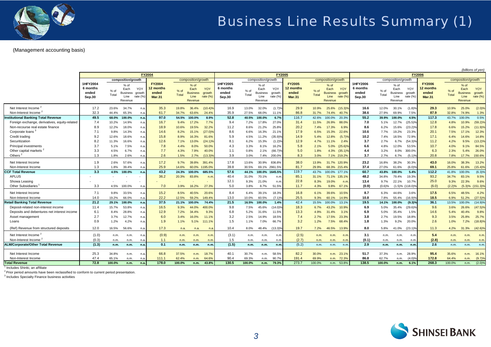

#### (Management accounting basis)

|                                               | <b>FY2004</b>                           |               |                                                      |                              |                                                     | <b>FY2005</b> |                                                      |                           |                                         |               |                                               | <b>FY2006</b>             |                                                      |               |                                                                             |                                         |               |                                                                                |           |                                                      |                      |                                                      |                           |
|-----------------------------------------------|-----------------------------------------|---------------|------------------------------------------------------|------------------------------|-----------------------------------------------------|---------------|------------------------------------------------------|---------------------------|-----------------------------------------|---------------|-----------------------------------------------|---------------------------|------------------------------------------------------|---------------|-----------------------------------------------------------------------------|-----------------------------------------|---------------|--------------------------------------------------------------------------------|-----------|------------------------------------------------------|----------------------|------------------------------------------------------|---------------------------|
|                                               |                                         |               | composition/growth                                   |                              |                                                     |               | composition/growth                                   |                           |                                         |               | composition/growth                            |                           |                                                      |               | composition/growth                                                          |                                         |               | composition/growth                                                             |           |                                                      |                      | composition/growth                                   |                           |
|                                               | 1HFY2004<br>6 months<br>ended<br>Sep.30 | % of<br>Total | $%$ of<br>Each<br><b>Business</b><br>Line<br>Revenue | YOY<br>growth<br>rate $(\%)$ | <b>FY2004</b><br>2 months<br>ended<br><b>Mar.31</b> | % of<br>Total | $%$ of<br>Each<br><b>Business</b><br>Line<br>Revenue | YOY<br>growth<br>rate (%) | 1HFY2005<br>6 months<br>ended<br>Sep.30 | % of<br>Total | $%$ of<br>Each<br>Business<br>Line<br>Revenue | YOY<br>growth<br>rate (%) | <b>FY2005</b><br>12 months<br>ended<br><b>Mar.31</b> | % of<br>Total | $%$ of<br>YOY<br>Each<br>Business growth<br>rate $(\% )$<br>Line<br>Revenue | 1HFY2006<br>6 months<br>ended<br>Sep.30 | % of<br>Total | % of<br>YOY<br>Each<br>arowth<br><b>Business</b><br>Line<br>rate (%<br>Revenue |           | <b>FY2006</b><br>12 months<br>ended<br><b>Mar.31</b> | % of<br><b>Total</b> | $%$ of<br>Each<br><b>Business</b><br>Line<br>Revenue | YOY<br>growth<br>rate (%) |
| Net Interest Income <sup>2</sup>              | 17.2                                    | 23.6%         | 34.7%                                                | n.a.                         | 35.3                                                | 19.8%         | 36.4%                                                | $(10.4)\%$                | 16.9                                    | 13.0%         | 32.0%                                         | $(1.7)$ <sup>9</sup>      | 29.9                                                 | 10.9%         | 25.6% (15.3)                                                                | 16.6                                    | 12.0%         | (1.8)%<br>30.1%                                                                |           | 29.3                                                 | 10.9%                | 25.0%                                                | $(2.0)\%$                 |
| Non-Interest Income <sup>2</sup>              | 32.3                                    | 44.4%         | 65.3%                                                | n.a.                         | 61.7                                                | 34.7%         | 63.6%                                                | 24.4%                     | 35.9                                    | 27.5%         | 68.0%                                         | 11.1%                     | 86.8                                                 | 31.7%         | 74.4%<br>40.7%                                                              | 38.6                                    | 27.9%         | 69.9%                                                                          | 7.5%      | 87.9                                                 | 32.8%                | 74.9%                                                | 1.3%                      |
| stitutional Banking Total Revenue             | 49.5                                    | 68.0%         | 100.0%                                               | n.a.                         | 97.0                                                | 54.5%         | 100.0%                                               | 8.9%                      | 52.8                                    | 40.5%         | 100.0%                                        | 6.7%                      | 116.7                                                | 42.6%         | 100.0%<br>20.3%                                                             | 55.2                                    | 39.9%         | 100.0%                                                                         | 4.5%      | 117.3                                                | 43.7%                | 100.0%                                               | 0.5%                      |
| Foreign exchange, derivatives, equity-related | 7.4                                     | 10.2%         | 14.9%                                                | n.a.                         | 16.7                                                | 9.4%          | 17.2%                                                | 7.7%                      | 9.4                                     | 7.2%          | 17.8%                                         | 27.0%                     | 31.4                                                 | 11.5%         | 26.9%<br>88.0%                                                              | 7.0                                     | 5.1%          | 12.7%<br>(25.5)%                                                               |           | 12.8                                                 | 4.8%                 | 10.9%                                                | $(59.2)\%$                |
| Non-recourse real estate finance              | 8.9                                     | 12.2%         | 18.0%                                                | n.a.                         | 18.9                                                | 10.6%         | 19.5%                                                | 32.2%                     | 11.2                                    | 8.6%          | 21.2%                                         | 25.8%                     | 20.2                                                 | 7.4%          | 6.9%<br>17.3%                                                               | 8.6                                     | 6.2%          | (23.2)%<br>15.6%                                                               |           | 17.8                                                 | 6.6%                 | 15.2%                                                | (11.9)%                   |
| Corporate loans <sup>3</sup>                  | 7.1                                     | 9.8%          | 14.3%                                                | n.a.                         | 14.6                                                | 8.2%          | 15.1%                                                | $(27.0)$ <sup>9</sup>     | 8.6                                     | 6.6%          | 16.3%                                         | 21.1%                     | 17.9                                                 | 6.5%          | 22.6%<br>15.3%                                                              | 10.6                                    | 7.7%          | 23.3%<br>19.2%                                                                 |           | 20.1                                                 | 7.5%                 | 17.1%                                                | 12.3%                     |
| Credit trading                                | 9.2                                     | 12.6%         | 18.6%                                                | n.a.                         | 15.8                                                | 8.9%          | 16.3%                                                | 81.6%                     | 5.9                                     | 4.5%          | 11.2%                                         | $(35.9)$ <sup>9</sup>     | 14.9                                                 | 5.4%          | $(5.7)$ <sup>9</sup><br>12.8%                                               | 10.2                                    | 7.4%          | 72.9%<br>18.5%                                                                 |           | 17.1                                                 | 6.4%                 | 14.6%                                                | 14.8%                     |
| Securitization                                | 8.2                                     | 11.3%         | 16.6%                                                | n.a.                         | 12.6                                                | 7.1%          | 13.0%                                                | $(24.1)$ <sup>9</sup>     | 8.1                                     | 6.2%          | 15.3%                                         | $(1.2)$ <sup>9</sup>      | 12.9                                                 | 4.7%          | 2.4%<br>11.1%                                                               | 3.7                                     | 2.7%          | $(54.3)$ %<br>6.7%                                                             |           | 11.2                                                 | 4.2%                 | 9.5%                                                 | $(13.2)\%$                |
| <b>Principal investments</b>                  | 3.7                                     | 5.1%          | 7.5%                                                 | n.a.                         | 7.8                                                 | 4.4%          | 8.0%                                                 | 50.0%                     | 4.3                                     | 3.3%          | 8.1%                                          | 16.2%                     | 5.8                                                  | 2.1%          | $(25.6)\%$<br>5.0%                                                          | 6.6                                     | 4.8%          | 12.0%<br>53.5%                                                                 |           | 10.7                                                 | 4.0%                 | 9.1%                                                 | 84.5%                     |
| Other capital markets <sup>2</sup>            | 3.3                                     | 4.5%          | 6.7%                                                 | n.a.                         | 7.7                                                 | 4.3%          | 7.9%                                                 | 40.0%                     | 1.1                                     | 0.8%          | 2.1%                                          | (66.7)                    | 5.0                                                  | 1.8%          | 4.3% (35.1)%                                                                | 4.4                                     | 3.2%          | 8.0%<br>300.0%                                                                 |           | 6.3                                                  | 2.3%                 | 5.4%                                                 | 26.0%                     |
| Others                                        | 1.3                                     | 1.8%          | 2.6%                                                 | n.a.                         | 2.6                                                 | 1.5%          | 2.7%                                                 | $(13.3)$ <sup>9</sup>     | 3.9                                     | 3.0%          | 7.4%                                          | 200.0%                    | 8.3                                                  | 3.0%          | 7.1% 219.2%                                                                 | 3.7                                     | 2.7%          | (5.1)<br>6.7%                                                                  |           | 20.8                                                 | 7.8%                 | 17.7%                                                | 150.6%                    |
| Net Interest Income                           | 1.9                                     | 2.6%          | 57.6%                                                | n.a.                         | 17.2                                                | 9.7%          | 39.8%                                                | 391.4%                    | 17.8                                    | 13.6%         | 30.9%                                         | 836.8%                    | 38.0                                                 | 13.9%         | 31.7% 120.9%                                                                | 23.2                                    | 16.8%         | 38.2%<br>30.3%                                                                 |           | 43.0                                                 | 16.0%                | 38.3%                                                | 13.2%                     |
| Non-Interest Income                           | 1.3                                     | 1.8%          | 39.4%                                                | n.a.                         | 25.9                                                | 14.6%         | 60.0%                                                | 1195.0%                   | 39.8                                    | 30.5%         | 69.1%                                         | 2961.5%                   | 81.7                                                 | 29.9%         | 68.3% 215.4%                                                                | 37.4                                    | 27.0%         | 61.6%                                                                          | $(6.0)$ % | 69.1                                                 | 25.8%                | 61.6%                                                | $(15.4)\%$                |
| <b>CCF Total Revenue</b>                      | 3.3                                     | 4.5%          | 100.0%                                               | n.a.                         | 43.2                                                | 24.3%         | 100.0%                                               | 685.5%                    | 57.6                                    | 44.1%         | 100.0%                                        | 1645.5%                   | 119.7                                                | 43.7%         | 100.0% 177.1%                                                               | 60.7                                    | 43.8%         | 100.0%                                                                         | 5.4%      | 112.2                                                | 41.8%                | 100.0%                                               | (6.3)%                    |
| <b>APLUS</b>                                  |                                         |               |                                                      | ۰.                           | 36.2                                                | 20.3%         | 83.8%                                                | n.m                       | 40.4                                    | 31.0%         | 70.1%                                         | n.m                       | 85.1                                                 | 31.1%         | 71.1% 135.1%                                                                | 48.2                                    | 34.8%         | 79.4%<br>19.3%                                                                 |           | 93.2                                                 | 34.7%                | 83.1%                                                | 9.5%                      |
| Showa Leasing                                 |                                         |               |                                                      |                              |                                                     |               |                                                      |                           | 12.1                                    | 9.3%          | 21.0%                                         | n.m                       | 22.8                                                 | 8.3%          | 19.0%<br>n.m                                                                | 13.4                                    | 9.7%          | 22.1%<br>10.7%                                                                 |           | 25.0                                                 | 9.3%                 | 22.3%                                                | 9.6%                      |
| Other Subsidiaries                            | 3.3                                     | 4.5%          | 100.0%                                               | n.a.                         | 7.0                                                 | 3.9%          | 16.2%                                                | 27.3%                     | 5.0                                     | 3.8%          | 8.7%                                          | 51.5%                     | 11.7                                                 | 4.3%          | 9.8%<br>67.1%                                                               | (0.9)                                   | (0.6)%        | $(118.0)$ <sup>9</sup><br>(1.5)%                                               |           | (6.0)                                                | (2.2)%               |                                                      | $(5.3)$ % $(151.3)$ %     |
| Net Interest Income                           | 7.1                                     | 9.8%          | 33.5%                                                | n.a.                         | 15.2                                                | 8.5%          | 40.5%                                                | 20.6%                     | 8.4                                     | 6.4%          | 39.1%                                         | 18.3%                     | 16.8                                                 | 6.1%          | 39.6%<br>10.5%                                                              | 8.7                                     | 6.3%          | 44.6%                                                                          | 3.6%      | 17.5                                                 | 6.5%                 | 48.5%                                                | 4.2%                      |
| Non-Interest Income                           | 14.0                                    | 19.2%         | 66.0%                                                | n.a.                         | 22.2                                                | 12.5%         | 59.2%                                                | 149.4%                    | 13.0                                    | 10.0%         | 60.5%                                         | $(7.1)$ <sup>9</sup>      | 25.5                                                 | 9.3%          | 60.1%<br>14.9%                                                              | 10.8                                    | 7.8%          | 55.4%<br>(16.9)                                                                |           | 18.5                                                 | 6.9%                 | 51.2%                                                | $(27.5)\%$                |
| <b>Retail Banking Total Revenue</b>           | 21.2                                    |               | 29.1% 100.0%                                         | n.a.                         | 37.5                                                | 21.1%         | 100.0%                                               | 74.4%                     | 21.5                                    | 16.5%         | 100.0%                                        | 1.4%                      | 42.4                                                 | 15.5%         | 100.0%<br>13.1%                                                             | 19.5                                    | 14.1%         | 100.0%<br>(9.3)%                                                               |           | 36.1                                                 | 13.5%                | 100.0%                                               | (14.9)%                   |
| Deposit-related non-interest income           | 11.4                                    | 15.7%         | 53.8%                                                | n.a.                         | 16.5                                                | 9.3%          | 44.0%                                                | 400.0%                    | 9.8                                     | 7.5%          | 45.6%                                         | $(14.0)$ <sup>9</sup>     | 18.3                                                 | 6.7%          | 10.9%<br>43.2%                                                              | 6.9                                     | 5.0%          | $(29.6)$ <sup>o</sup><br>35.4%                                                 |           | 9.6                                                  | 3.6%                 | 26.6%                                                | $(47.5)\%$                |
| Deposits and debentures net interest income   | 6.1                                     | 8.4%          | 28.8%                                                | n.a.                         | 12.9                                                | 7.2%          | 34.4%                                                | 9.3%                      | 6.8                                     | 5.2%          | 31.6%                                         | 11.5%                     | 13.3                                                 | 4.9%          | 31.4%<br>3.1%                                                               | 6.9                                     | 5.0%          | 35.4%                                                                          | 1.5%      | 14.6                                                 | 5.4%                 | 40.4%                                                | 9.8%                      |
| Asset management                              | 2.7                                     | 3.7%          | 12.7%                                                | n.a.                         | 6.0                                                 | 3.4%          | 16.0%                                                | 11.1%                     | 3.2                                     | 2.5%          | 14.9%                                         | 18.5%                     | 7.4                                                  | 2.7%          | 23.3%<br>17.5%                                                              | 3.8                                     | 2.7%          | 18.8%<br>19.5%                                                                 |           | 9.3                                                  | 3.5%                 | 25.8%                                                | 25.7%                     |
| Loans                                         | 0.9                                     | 1.2%          | 4.2%                                                 | n.a.                         | 1.9                                                 | 1.1%          | 5.1%                                                 | 111.1%                    | 1.5                                     | 1.1%          | 7.0%                                          | 66.7%                     | 3.2                                                  | 1.2%          | 68.4%<br>7.5%                                                               | 1.8                                     | 1.3%          | 20.0%<br>9.2%                                                                  |           | 2.6                                                  | 1.0%                 | 7.2%                                                 | $(18.8)\%$                |
| (Ref) Revenue from structured deposits        | 12.0                                    | 16.5%         | 56.6%                                                | n.a.                         | 17.3                                                | n.a.          | n.a.                                                 | n.a                       | 10.4                                    | 8.0%          | 48.4%                                         | $(13.3)$ <sup>o</sup>     | 19.7                                                 | 7.2%          | 13.9%<br>46.5%                                                              | 8.0                                     | 5.8%          | $(23.1)$ <sup>9</sup><br>41.0%                                                 |           | 11.3                                                 | 4.2%                 | 31.3%                                                | $(42.6)\%$                |
| Net Interest Income <sup>2</sup>              | (1.0)                                   | n.m.          | n.m.                                                 | n.a.                         | (0.9)                                               | n.m.          | n.m.                                                 | n.m.                      | (3.1)                                   | n.m.          | n.m.                                          | n.m                       | (2.5)                                                | n.m.          | n.m<br>n.m.                                                                 | 3.1                                     | n.m.          | n.m                                                                            | n.m       | 5.4                                                  | n.m.                 | n.m.                                                 | n.m.                      |
| Non-Interest Income <sup>2</sup>              | (0.3)                                   | n.m.          | n.m.                                                 | n.a.                         | 1.1                                                 | n.m.          | n.m                                                  | n.m                       | 1.5                                     | n.m.          | n.m.                                          | n.m                       | (2.7)                                                | n.m.          | n.m.<br>n.m                                                                 | (0.1)                                   | n.m.          | n.m                                                                            | n.m       | (2.8)                                                | n.m.                 | n.m.                                                 | n.m.                      |
| <b>ALM/Corporate/Other Total Revenue</b>      | (1.3)                                   | n.m.          | n.m.                                                 | n.a.                         | 0.1                                                 | n.m.          | n.m.                                                 | n.m.                      | (1.5)                                   | n.m.          | n.m.                                          | n.m                       | (5.2)                                                | n.m.          | n.m.<br>n.m                                                                 | 2.9                                     | n.m.          | n.m.                                                                           | n.m.      | 2.6                                                  | n.m.                 | n.m.                                                 | n.m.                      |
| Net Interest Income                           | 25.3                                    | 34.8%         | n.m.                                                 | n.a.                         | 66.8                                                | 37.5%         | n.m.                                                 | 18.7%                     | 40.1                                    | 30.7%         | n.m.                                          | 58.5%                     | 82.2                                                 | 30.0%         | n.m. 23.1%                                                                  | 51.7                                    | 37.3%         | 28.9%<br>n.m.                                                                  |           | 95.4                                                 | 35.6%                | n.m.                                                 | 16.1%                     |
| Non-Interest Income                           | 47.4                                    | 65.1%         | n.m.                                                 | n.a.                         | 111.1                                               | 62.4%         | n.m.                                                 | 64.6%                     | 90.4                                    | 69.3%         | n.m.                                          | 90.7%                     | 191.4                                                | 69.9%         | n.m. 72.3%                                                                  | 86.8                                    | 62.7%         | (4.0)%<br>n.m                                                                  |           | 172.8                                                | 64.4%                | n.m.                                                 | (9.7)%                    |
| <b>Total Revenue</b>                          | 72.8                                    | 100.0%        | n.m.                                                 | n.a.                         | 178.0                                               | 100.0%        | n.m.                                                 | 43.8%                     | 130.5                                   | 100.0%        | n.m.                                          | 79.3%                     | 273.7                                                | 100.0%        | 53.8%<br>n.m.                                                               | 138.5                                   | 100.0%        | n.m.                                                                           | 6.1%      | 268.3                                                | 100.0%               | n.m.                                                 | $(2.0)\%$                 |

<sup>1</sup> Includes Shinki, an affiliate

 $2$  Prior period amounts have been reclassified to conform to current period presentation.

3 Includes Specialty Finance business activities



*(billions of yen)*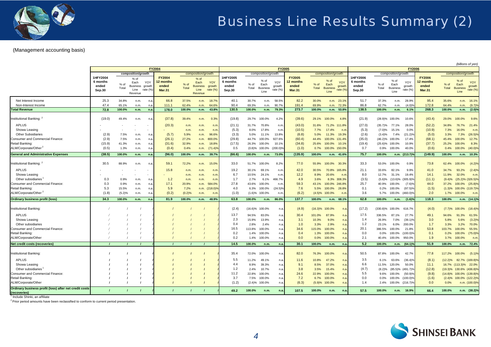

#### (Management accounting basis)

|                                                                                                                                                                                                                                 |                                                       |                                                  |                                                                            |                                                                                                           |                                                                  |                                                                   |                                                                            | FY2005                                                            |                                                                         |                                                                |                                                                                             |                                                                     |                                                                             |                                                                    |                                                                                                                                              |                                                                       |                                                                                               |                                                                                                    | (billions of yen)                                                                            |                                                                             |                                                                    |                                                                                                                                                                |
|---------------------------------------------------------------------------------------------------------------------------------------------------------------------------------------------------------------------------------|-------------------------------------------------------|--------------------------------------------------|----------------------------------------------------------------------------|-----------------------------------------------------------------------------------------------------------|------------------------------------------------------------------|-------------------------------------------------------------------|----------------------------------------------------------------------------|-------------------------------------------------------------------|-------------------------------------------------------------------------|----------------------------------------------------------------|---------------------------------------------------------------------------------------------|---------------------------------------------------------------------|-----------------------------------------------------------------------------|--------------------------------------------------------------------|----------------------------------------------------------------------------------------------------------------------------------------------|-----------------------------------------------------------------------|-----------------------------------------------------------------------------------------------|----------------------------------------------------------------------------------------------------|----------------------------------------------------------------------------------------------|-----------------------------------------------------------------------------|--------------------------------------------------------------------|----------------------------------------------------------------------------------------------------------------------------------------------------------------|
|                                                                                                                                                                                                                                 |                                                       |                                                  |                                                                            |                                                                                                           | <b>FY2004</b>                                                    |                                                                   |                                                                            |                                                                   |                                                                         |                                                                |                                                                                             |                                                                     |                                                                             |                                                                    |                                                                                                                                              |                                                                       |                                                                                               |                                                                                                    | <b>FY2006</b>                                                                                |                                                                             |                                                                    |                                                                                                                                                                |
|                                                                                                                                                                                                                                 | 1HFY2004<br>6 months<br>ended<br>Sep.30               | % of<br>Total                                    | composition/growth<br>$%$ of<br>Each<br><b>Business</b><br>Line<br>Revenue | YOY<br>growth<br>rate (%)                                                                                 | <b>FY2004</b><br>12 months<br>ended<br><b>Mar.31</b>             | $%$ of<br>Total                                                   | composition/growth<br>$%$ of<br>Each<br><b>Business</b><br>Line<br>Revenue | YOY<br>growth<br>rate (%                                          | 1HFY2005<br>6 months<br>ended<br>Sep.30                                 | $%$ of<br>Total                                                | composition/growth<br>$%$ of<br>Each<br><b>Business</b><br>Line                             | YOY<br>growth<br>rate (%)                                           | <b>FY2005</b><br>2 months<br>ended<br><b>Mar.31</b>                         | % of<br>Total                                                      | composition/growth<br>% of<br>YOY<br>Each<br>growth<br><b>Business</b><br>rate $(\%)$<br>Line                                                | <b>HFY2006</b><br>6 months<br>ended<br>Sep.30                         | $%$ of<br>Total                                                                               | composition/growth<br>% of<br>Each<br><b>Business</b><br>Line                                      | YOY<br>growth<br>rate $(%)$                                                                  | <b>FY2006</b><br>2 months<br>ended<br><b>Mar.31</b>                         | $%$ of<br>Total                                                    | composition/growth<br>$%$ of<br>YOY<br>Each<br>growth<br><b>Business</b><br>rate $(\%)$<br>Line                                                                |
| Net Interest Income<br>Non-Interest Income<br><b>Total Revenue</b>                                                                                                                                                              | 25.3<br>47.4<br>72.8                                  | 34.8%<br>65.1%<br>100.0%                         | n.m.<br>n.m.<br>n.m.                                                       | n <sub>i</sub><br>n.a<br>n.a                                                                              | 66.8<br>111.1<br>178.0                                           | 37.5%<br>62.4%<br>100.0%                                          | n.m.<br>n.m<br>n.m.                                                        | 18.7%<br>64.6%<br>43.8%                                           | 40.1<br>90.4<br>130.5                                                   | 30.7%<br>69.3%<br>100.0%                                       | n.m.<br>n.m.<br>n.m.                                                                        | 58.5°<br>90.79<br>79.3%                                             | 82.2<br>191.4<br>273.7                                                      | 30.0%<br>69.9%<br>100.0%                                           | n.m. 23.1%<br>72.3%<br>n.m.<br>n.m.<br>53.8%                                                                                                 | 51.7<br>86.8<br>138.5                                                 | 37.3%<br>62.7%<br>100.0%                                                                      | n.m.<br>n.m.<br>n.m.                                                                               | 28.9%<br>(4.0)<br>6.1%                                                                       | 95.4<br>172.8<br>268.3                                                      | 35.6%<br>64.4%<br>100.0%                                           | 16.1%<br>n.m.<br>(9.7)%<br>n.m.<br>$(2.0)\%$<br>n.m.                                                                                                           |
| Institutional Banking: 4<br><b>APLUS</b><br>Showa Leasing<br><b>Other Subsidiaries</b><br>Consumer and Commercial Finance:<br>Retail Banking:<br>ALM/Corporate/Other <sup>2</sup><br><b>General and Administrative Expenses</b> | (19.0)<br>(2.9)<br>(2.9)<br>(15.9)<br>(0.5)<br>(38.5) | 49.4%<br>7.5%<br>7.5%<br>41.3%<br>1.3%<br>100.0% | n.m.<br>n.m.<br>n.m.<br>n.m.<br>n.m.<br>n.m.                               | n.a<br>$\overline{\phantom{a}}$<br>$\overline{\phantom{a}}$<br>n <sub>i</sub><br>n.a<br>n.a<br>n.a<br>n.a | (37.8)<br>(20.3)<br>(5.7)<br>(26.1)<br>(31.6)<br>(0.4)<br>(96.0) | 39.4%<br>n.m.<br>n.m.<br>5.9%<br>27.2%<br>32.9%<br>0.4%<br>100.0% | n.m.<br>n.m.<br>n.m.<br>n.m.<br>n.m.<br>n.m.<br>n.m.<br>n.m.               | 0.3%<br>n.m<br>n.n<br>96.6%<br>800.0%<br>18.8%<br>(71.4)<br>39.7% | (19.8)<br>(21.1)<br>(5.3)<br>(3.3)<br>(29.8)<br>(17.5)<br>0.5<br>(66.6) | 29.7%<br>31.7%<br>8.0%<br>5.0%<br>44.7%<br>26.3%<br>100.0%     | 100.0%<br>70.8%<br>17.8%<br>11.1%<br>100.0%<br>100.0%<br>$(0.8)$ % 100.0% $(200.0)$<br>n.m. | 4.2%<br>n.m<br>n.m<br>13.8%<br>927.6%<br>10.1%<br>73.0%             | (39.6)<br>(43.0)<br>(10.5)<br>(6.8)<br>(60.4)<br>(34.8)<br>(1.0)<br>(135.9) | 29.1%<br>31.6%<br>7.7%<br>5.0%<br>44.4%<br>25.6%<br>0.7%<br>100.0% | 100.0%<br>4.8%<br>111.8%<br>71.2%<br>17.4%<br>n.m<br>11.3%<br>19.3%<br>131.4%<br>100.0%<br>10.1%<br>100.0%<br>100.0% 150.0%<br>41.6%<br>n.m. | (21.9)<br>(27.0)<br>(5.3)<br>(2.6)<br>(35.0)<br>(19.4)<br>0.7<br>75.7 | (28.9)%<br>$(35.7)\%$<br>$(7.0)\%$<br>$(3.4)\%$<br>$(46.2)\%$<br>$(25.6)\%$<br>0.9%<br>100.0% | 100.0%<br>77.1%<br>15.1%<br>7.4%<br>100.0%<br>100.0%<br>100.0%<br>n.m. (213.7)                     | 10.6%<br>28.0%<br>0.0%<br>(21.2)%<br>17.4%<br>10.9%<br>40.0%                                 | (43.4)<br>(52.2)<br>(10.9)<br>(5.0)<br>(68.1)<br>(37.7)<br>(0.6)<br>(149.9) | 29.0%<br>34.8%<br>7.3%<br>3.3%<br>45.4%<br>25.2%<br>0.4%<br>100.0% | 9.6%<br>100.0%<br>21.4%<br>76.7%<br>n.m<br>16.0%<br>$(26.5)\%$<br>7.3%<br>12.7%<br>100.0%<br>8.3%<br>100.0%<br>$(40.0)\%$<br>100.0%<br>n.m. 10.3%              |
| Institutional Banking: 2<br><b>APLUS</b><br>Showa Leasing<br>Other subsidiaries<br>Consumer and Commercial Finance:<br>Retail Banking<br>ALM/Corporate/Other <sup>2</sup>                                                       | 30.5<br>0.3<br>0.3<br>5.3<br>(1.8)                    | 88.9%<br>0.9%<br>0.9%<br>15.5%<br>(5.2)%         | n.m.<br>n.m.<br>n.m.<br>n.m.<br>n.m.                                       | n.a<br>$\overline{\phantom{a}}$<br>n.e<br>n <sub>i</sub><br>n <sub>i</sub><br>n.a                         | 59.1<br>15.8<br>1.2<br>17.1<br>5.9<br>(0.2)                      | 72.2%<br>n.m.<br>n.m.<br>n.m.<br>20.9%<br>7.2%<br>(0.2)%          | n.m.<br>n.m<br>n.m.<br>n.m.<br>n.m.<br>n.m. (218.0)9<br>n.m.               | 15.0%<br>n.m<br>n.n<br>n.n<br>584.0%<br>n.n                       | 33.0<br>19.2<br>6.7<br>1.7<br>27.8<br>4.0<br>(1.0)                      | 51.7%<br>30.1%<br>10.5%<br>2.7%<br>43.6%<br>6.3%<br>(1.6)%     | 100.0%<br>69.1%<br>24.1%<br>6.1%<br>100.0%<br>100.0%<br>100.0%                              | 8.2%<br>n.m<br>n.m<br>466.7%<br>n.m<br>$(24.5)$ <sup>9</sup><br>n.m | 77.0<br>42.0<br>12.2<br>4.9<br>59.3<br>7.6<br>(6.2)                         | 55.9%<br>30.5%<br>8.9%<br>3.6%<br>43.1%<br>5.5%<br>$(4.5)\%$       | 100.0%<br>30.3%<br>70.8%<br>165.8%<br>20.6%<br>n.m<br>8.3%<br>308.3%<br>100.0%<br>246.8%<br>100.0%<br>28.8%<br>100.0%<br>n.m                 | 33.3<br>21.1<br>8.0<br>(3.5)<br>25.7<br>0.1<br>3.6                    | 53.0%<br>33.6%<br>12.7%<br>(5.6)%<br>40.9%<br>0.2%<br>5.7%                                    | 100.0%<br>82.1%<br>31.1%<br>$(13.6)\%$<br>100.0%<br>100.0%<br>100.0%                               | 0.9%<br>9.9%<br>19.4%<br>(305.9)<br>$(7.6)$ <sup>9</sup><br>$(97.5)$ <sup>9</sup><br>(460.0) | 73.8<br>41.0<br>14.1<br>(11.1)<br>44.0<br>(1.5)<br>2.0                      | 62.4%<br>34.7%<br>11.9%<br>$(9.4)\%$<br>37.2%<br>1.7%              | $(4.2)\%$<br>100.0%<br>93.2%<br>$(2.4)\%$<br>32.0%<br>n.m<br>(25.2)% (326.5)%<br>$(25.8)\%$<br>100.0%<br>(1.3)% 100.0% (119.7)%<br>100.0%<br>n.m.              |
| <b>Ordinary business profit (loss)</b>                                                                                                                                                                                          | 34.3                                                  | 100.0%                                           | n.m.                                                                       | n.a                                                                                                       | 81.9                                                             | 100.0%                                                            | n.m.                                                                       | 48.9%                                                             | 63.8                                                                    | 100.0%                                                         | n.m.                                                                                        | 86.0%                                                               | 137.7                                                                       | 100.0%                                                             | 68.1%<br>n.m.                                                                                                                                | 62.8                                                                  | 100.0%                                                                                        | n.m.                                                                                               | $(1.6)$ <sup>o</sup>                                                                         | 118.3                                                                       | 100.0%                                                             | n.m. (14.1)%                                                                                                                                                   |
| Institutional Banking:<br><b>APLUS</b><br>Showa Leasing<br>Other subsidiaries<br>Consumer and Commercial Finance:<br>Retail Banking:<br>ALM/Corporate/Other                                                                     |                                                       |                                                  |                                                                            |                                                                                                           |                                                                  |                                                                   |                                                                            |                                                                   | (2.4)<br>13.7<br>2.3<br>0.4<br>16.5<br>0.2<br>0.2                       | $(16.6)\%$<br>94.5%<br>15.9%<br>2.8%<br>113.8%<br>1.4%<br>1.4% | 100.0%<br>83.0%<br>13.9%<br>2.4%<br>100.0%<br>100.0%<br>100.0%                              | n.a<br>n.a<br>n.a<br>n.a<br>n.a<br>n.e<br>n.a                       | (4.9)<br>30.4<br>3.1<br>1.0<br>34.6<br>0.4<br>0.0                           | $(16.3)\%$<br>101.0%<br>10.3%<br>3.3%<br>115.0%<br>1.3%<br>0.0%    | 100.0%<br>n.a.<br>87.9%<br>n.a<br>9.0%<br>n.a.<br>2.9%<br>n.a<br>100.0%<br>n.a<br>100.0%<br>n.a.<br>100.0%<br>n.a                            | (17.2)<br>17.5<br>1.4<br>1.2<br>20.1<br>0.0<br>2.1                    | $(330.8)\%$<br>336.5%<br>26.9%<br>23.1%<br>386.5%<br>$0.0\%$<br>40.4%                         | 100.0%<br>87.1%<br>7.0%<br>6.0%<br>100.0%<br>100.0%<br>100.0%                                      | 616.7%<br>27.7%<br>(39.1)<br>200.0%<br>21.8%<br>$(100.0)$ <sup>c</sup><br>950.0%             | (4.0)<br>49.1<br>3.0<br>1.7<br>53.8<br>0.1<br>1.9                           | (7.7)%<br>94.6%<br>5.8%<br>3.3%<br>103.7%<br>0.2%<br>3.7%          | 100.0% (18.4)%<br>61.5%<br>91.3%<br>$(3.2)\%$<br>5.6%<br>70.0%<br>3.2%<br>55.5%<br>100.0%<br>$(75.0)\%$<br>100.0%<br>100.0%<br>n.m.                            |
| Net credit costs (recoveries)                                                                                                                                                                                                   |                                                       |                                                  |                                                                            |                                                                                                           |                                                                  |                                                                   |                                                                            |                                                                   | 14.5                                                                    | 100.0%                                                         | n.m.                                                                                        | n.a.                                                                | 30.1                                                                        | 100.0%                                                             | n.a.<br>n.m.                                                                                                                                 | 5.2                                                                   | 100.0%                                                                                        | n.m.                                                                                               | (64.1)                                                                                       | 51.9                                                                        | 100.0%                                                             | n.m. 72.4%                                                                                                                                                     |
| Institutional Banking:<br><b>APLUS</b><br>Showa Leasing<br>Other subsidiaries<br>Consumer and Commercial Finance:<br>Retail Banking:<br>ALM/Corporate/Other<br>Ordinary business profit (loss) after net credit costs           |                                                       |                                                  |                                                                            |                                                                                                           |                                                                  |                                                                   |                                                                            |                                                                   | 35.4<br>5.5<br>4.4<br>1.2<br>11.2<br>3.7<br>(1.2)                       | 72.0%<br>11.2%<br>8.9%<br>2.4%<br>22.8%<br>7.5%                | 100.0%<br>49.1%<br>39.3%<br>10.7%<br>100.0%<br>100.0%<br>$(2.4)\%$ 100.0%                   | n.a<br>n.a<br>n.a<br>n.a<br>n.a<br>n.a<br>$n.\epsilon$              | 82.0<br>11.6<br>9.1<br>3.8<br>24.6<br>7.2<br>(6.3)                          | 76.3%<br>10.8%<br>8.5%<br>3.5%<br>22.9%<br>6.7%                    | 100.0%<br>n.a<br>47.2%<br>n.a<br>37.0%<br>n.a<br>15.4%<br>n.a.<br>100.0%<br>n.a.<br>100.0%<br>n.a<br>$(5.9)$ % 100.0%<br>n.a                 | 50.5<br>3.5<br>6.6<br>(4.7)<br>5.5<br>0.0<br>1.4                      | 87.8%<br>6.1%<br>11.5%<br>(8.2)%<br>9.6%<br>0.0%                                              | 100.0%<br>63.6%<br>120.0%<br>(85.5)% (491.7)%<br>100.0%<br>100.0% (100.0)%<br>2.4% 100.0% (216.7)% | 42.7%<br>$(36.4)$ <sup>9</sup><br>50.0%<br>(50.9)%                                           | 77.8<br>(8.1)<br>11.1<br>(12.8)<br>(9.8)<br>(1.6)<br>0.0                    | 117.2%<br>$(12.2)\%$<br>0.0%                                       | $(5.1)\%$<br>100.0%<br>82.7% (169.8)%<br>16.7% (113.3)% 22.0%<br>(19.3)% 130.6% (436.8)%<br>(14.8)% 100.0% (139.8)%<br>(2.4)% 100.0% (122.2)%<br>n.m. (100.0)% |
| (recoveries)                                                                                                                                                                                                                    |                                                       |                                                  |                                                                            |                                                                                                           |                                                                  |                                                                   |                                                                            |                                                                   | 49.2                                                                    | 100.0%                                                         | n.m.                                                                                        | n.a                                                                 | 107.5                                                                       | 100.0%                                                             | n.m.<br>n.a.                                                                                                                                 | 57.5                                                                  | 100.0%                                                                                        | n.m. 16.9%                                                                                         |                                                                                              | 66.4                                                                        | 100.0%                                                             | n.m. (38.2)%                                                                                                                                                   |

<sup>1</sup> Include Shinki, an affiliate

 $2$  Prior period amounts have been reclassified to conform to current period presentation.

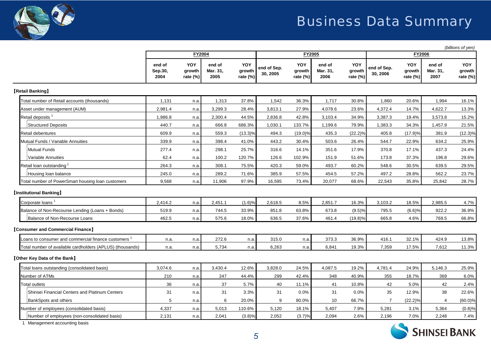

## Business Data Summary

*(billions of yen)*

|                                                                  |                           | FY2004                       |                            |                                  | FY2005                  |                              | <b>FY2006</b>              |                              |                         |                              |                            |                           |
|------------------------------------------------------------------|---------------------------|------------------------------|----------------------------|----------------------------------|-------------------------|------------------------------|----------------------------|------------------------------|-------------------------|------------------------------|----------------------------|---------------------------|
|                                                                  | end of<br>Sep.30,<br>2004 | YOY<br>growth<br>rate $(\%)$ | end of<br>Mar. 31,<br>2005 | <b>YOY</b><br>growth<br>rate (%) | end of Sep.<br>30, 2005 | YOY<br>growth<br>rate $(\%)$ | end of<br>Mar. 31,<br>2006 | YOY<br>growth<br>rate $(\%)$ | end of Sep.<br>30, 2006 | YOY<br>growth<br>rate $(\%)$ | end of<br>Mar. 31,<br>2007 | YOY<br>growth<br>rate (%) |
| [Retail Banking]                                                 |                           |                              |                            |                                  |                         |                              |                            |                              |                         |                              |                            |                           |
| Total number of Retail accounts (thousands)                      | 1,131                     | n.a.                         | 1,313                      | 37.8%                            | 1,542                   | 36.3%                        | 1,717                      | 30.8%                        | 1,860                   | 20.6%                        | 1,994                      | 16.1%                     |
| Asset under management (AUM)                                     | 2,981.4                   | n.a.                         | 3,299.3                    | 28.4%                            | 3,813.1                 | 27.9%                        | 4,078.6                    | 23.6%                        | 4,372.4                 | 14.7%                        | 4,622.7                    | 13.3%                     |
| Retail deposits <sup>1</sup>                                     | 1,986.8                   | n.a.                         | 2,300.4                    | 44.5%                            | 2,836.8                 | 42.8%                        | 3,103.4                    | 34.9%                        | 3,387.3                 | 19.4%                        | 3,573.8                    | 15.2%                     |
| <b>Structured Deposits</b>                                       | 440.7                     | n.a.                         | 666.8                      | 686.3%                           | 1,030.1                 | 133.7%                       | 1,199.6                    | 79.9%                        | 1,383.3                 | 34.3%                        | 1,457.9                    | 21.5%                     |
| Retail debentures                                                | 609.9                     | n.a.                         | 559.3                      | $(13.3)\%$                       | 494.3                   | $(19.0)\%$                   | 435.3                      | $(22.2)\%$                   | 405.8                   | (17.9)%                      | 381.9                      | $(12.3)\%$                |
| Mutual Funds / Variable Annuities                                | 339.9                     | n.a.                         | 398.4                      | 41.0%                            | 443.2                   | 30.4%                        | 503.6                      | 26.4%                        | 544.7                   | 22.9%                        | 634.2                      | 25.9%                     |
| <b>Mutual Funds</b>                                              | 277.4                     | n.a.                         | 298.1                      | 25.7%                            | 316.6                   | 14.1%                        | 351.6                      | 17.9%                        | 370.8                   | 17.1%                        | 437.3                      | 24.4%                     |
| Variable Annuities                                               | 62.4                      | n.a.                         | 100.2                      | 120.7%                           | 126.6                   | 102.9%                       | 151.9                      | 51.6%                        | 173.8                   | 37.3%                        | 196.8                      | 29.6%                     |
| Retail loan outstanding                                          | 264.3                     | n.a.                         | 308.1                      | 75.5%                            | 420.3                   | 59.0%                        | 493.7                      | 60.2%                        | 548.6                   | 30.5%                        | 639.5                      | 29.5%                     |
| Housing loan balance                                             | 245.0                     | n.a.                         | 289.2                      | 71.6%                            | 385.9                   | 57.5%                        | 454.5                      | 57.2%                        | 497.2                   | 28.8%                        | 562.2                      | 23.7%                     |
| Total number of PowerSmart housing loan customers                | 9,568                     | n.a.                         | 11,906                     | 97.9%                            | 16,595                  | 73.4%                        | 20,077                     | 68.6%                        | 22,543                  | 35.8%                        | 25,842                     | 28.7%                     |
| <b>[Institutional Banking]</b>                                   |                           |                              |                            |                                  |                         |                              |                            |                              |                         |                              |                            |                           |
| Corporate loans <sup>1</sup>                                     | 2,414.2                   | n.a.                         | 2,451.1                    | (1.6)%                           | 2,618.5                 | 8.5%                         | 2,851.7                    | 16.3%                        | 3,103.2                 | 18.5%                        | 2,985.5                    | 4.7%                      |
| Balance of Non-Recourse Lending (Loans + Bonds)                  | 519.9                     | n.a.                         | 744.5                      | 33.9%                            | 851.8                   | 63.8%                        | 673.8                      | (9.5)%                       | 795.5                   | (6.6)%                       | 922.2                      | 36.9%                     |
| Balance of Non-Recourse Loans                                    | 462.5                     | n.a.                         | 575.6                      | 18.0%                            | 636.5                   | 37.6%                        | 461.4                      | $(19.8)\%$                   | 665.8                   | 4.6%                         | 769.5                      | 66.8%                     |
| [Consumer and Commercial Finance]                                |                           |                              |                            |                                  |                         |                              |                            |                              |                         |                              |                            |                           |
| Loans to consumer and commercial finance customers $^{\text{1}}$ | n.a.                      | n.a.                         | 272.6                      | n.a.                             | 315.0                   | n.a.                         | 373.3                      | 36.9%                        | 416.1                   | 32.1%                        | 424.9                      | 13.8%                     |
| Total number of available cardholders (APLUS) (thousands)        | n.a.                      | n.a.                         | 5,734                      | n.a.                             | 6,263                   | n.a.                         | 6,841                      | 19.3%                        | 7,359                   | 17.5%                        | 7,612                      | 11.3%                     |
| [Other Key Data of the Bank]                                     |                           |                              |                            |                                  |                         |                              |                            |                              |                         |                              |                            |                           |
| Total loans outstanding (consolidated basis)                     | 3,074.6                   | n.a.                         | 3,430.4                    | 12.6%                            | 3,828.0                 | 24.5%                        | 4,087.5                    | 19.2%                        | 4,781.4                 | 24.9%                        | 5,146.3                    | 25.9%                     |
| Number of ATMs                                                   | 210                       | n.a.                         | 247                        | 44.4%                            | 299                     | 42.4%                        | 348                        | 40.9%                        | 355                     | 18.7%                        | 369                        | 6.0%                      |
| <b>Total outlets</b>                                             | 36                        | n.a.                         | 37                         | 5.7%                             | 40                      | 11.1%                        | 41                         | 10.8%                        | 42                      | 5.0%                         | 42                         | 2.4%                      |
| Shinsei Financial Centers and Platinum Centers                   | 31                        | n.a.                         | 31                         | 3.3%                             | 31                      | 0.0%                         | 31                         | 0.0%                         | 35                      | 12.9%                        | 38                         | 22.6%                     |
| <b>BankSpots and others</b>                                      | 5                         | n.a.                         | 6                          | 20.0%                            | 9                       | 80.0%                        | 10                         | 66.7%                        | $\overline{7}$          | $(22.2)\%$                   | 4                          | $(60.0)\%$                |
| Number of employees (consolidated basis)                         | 4,337                     | n.a.                         | 5,013                      | 110.6%                           | 5,120                   | 18.1%                        | 5,407                      | 7.9%                         | 5,281                   | 3.1%                         | 5,364                      | (0.8)%                    |
| Number of employees (non-consolidated basis)                     | 2,131                     | n.a.                         | 2.041                      | (3.8)%                           | 2,052                   | (3.7)%                       | 2.094                      | 2.6%                         | 2.196                   | 7.0%                         | 2.248                      | 7.4%                      |

1 Management accounting basis

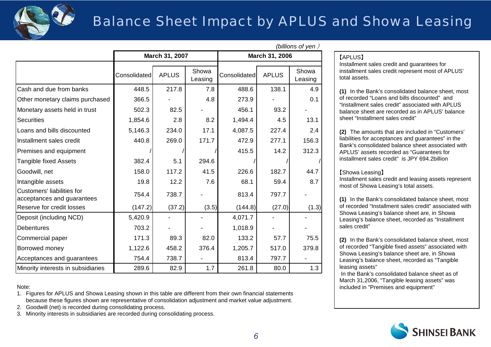

## Balance Sheet Impact by APLUS and Showa Leasing

|                                                          |              |                |                  | <i>ן</i> ווט אַ ווטוווען<br>March 31, 2006 |              |                  |  |  |  |  |
|----------------------------------------------------------|--------------|----------------|------------------|--------------------------------------------|--------------|------------------|--|--|--|--|
|                                                          |              | March 31, 2007 |                  |                                            |              |                  |  |  |  |  |
|                                                          | Consolidated | <b>APLUS</b>   | Showa<br>Leasing | Consolidated                               | <b>APLUS</b> | Showa<br>Leasing |  |  |  |  |
| Cash and due from banks                                  | 448.5        | 217.8          | 7.8              | 488.6                                      | 138.1        | 4.9              |  |  |  |  |
| Other monetary claims purchased                          | 366.5        |                | 4.8              | 273.9                                      |              | 0.1              |  |  |  |  |
| Monetary assets held in trust                            | 502.3        | 82.5           |                  | 456.1                                      | 93.2         |                  |  |  |  |  |
| <b>Securities</b>                                        | 1,854.6      | 2.8            | 8.2              | 1,494.4                                    | 4.5          | 13.1             |  |  |  |  |
| Loans and bills discounted                               | 5,146.3      | 234.0          | 17.1             | 4,087.5                                    | 227.4        | 2.4              |  |  |  |  |
| Installment sales credit                                 | 440.8        | 269.0          | 171.7            | 472.9                                      | 277.1        | 156.3            |  |  |  |  |
| Premises and equipment                                   |              |                |                  | 415.5                                      | 14.2         | 312.3            |  |  |  |  |
| <b>Tangible fixed Assets</b>                             | 382.4        | 5.1            | 294.6            |                                            |              |                  |  |  |  |  |
| Goodwill, net                                            | 158.0        | 117.2          | 41.5             | 226.6                                      | 182.7        | 44.7             |  |  |  |  |
| Intangible assets                                        | 19.8         | 12.2           | 7.6              | 68.1                                       | 59.4         | 8.7              |  |  |  |  |
| Customers' liabilities for<br>acceptances and guarantees | 754.4        | 738.7          |                  | 813.4                                      | 797.7        |                  |  |  |  |  |
| Reserve for credit losses                                | (147.2)      | (37.2)         | (3.5)            | (144.8)                                    | (27.0)       | (1.3)            |  |  |  |  |
| Deposit (including NCD)                                  | 5,420.9      |                |                  | 4,071.7                                    |              |                  |  |  |  |  |
| <b>Debentures</b>                                        | 703.2        |                |                  | 1,018.9                                    |              |                  |  |  |  |  |
| Commercial paper                                         | 171.3        | 89.3           | 82.0             | 133.2                                      | 57.7         | 75.5             |  |  |  |  |
| Borrowed money                                           | 1,122.6      | 458.2          | 376.4            | 1,205.7                                    | 517.0        | 379.8            |  |  |  |  |
| Acceptances and guarantees                               | 754.4        | 738.7          |                  | 813.4                                      | 797.7        |                  |  |  |  |  |
| Minority interests in subsidiaries                       | 289.6        | 82.9           | 1.7              | 261.8                                      | 80.0         | 1.3              |  |  |  |  |

### Note:

1. Figures for APLUS and Showa Leasing shown in this table are different from their own financial statements because these figures shown are representative of consolidation adjustment and market value adjustment.

2. Goodwill (net) is recorded during consolidating process.

3. Minority interests in subsidiaries are recorded during consolidating process.

### *(billions of yen* )

### 【APLUS】

Installment sales credit and guarantees for installment sales credit represent most of APLUS' total assets.

**(1)** In the Bank's consolidated balance sheet, most of recorded "Loans and bills discounted" and "Installment sales credit" associated with APLUS balance sheet are recorded as in APLUS' balance sheet "Installment sales credit"

**(2)** The amounts that are included in "Customers' liabilities for acceptances and guarantees" in the Bank's consolidated balance sheet associated with APLUS' assets recorded as "Guarantees for installment sales credit" is JPY 694.2billion

### 【Showa Leasing】

Installment sales credit and leasing assets represent most of Showa Leasing's total assets.

**(1)** In the Bank's consolidated balance sheet, most of recorded "Installment sales credit" associated with Showa Leasing's balance sheet are, in Showa Leasing's balance sheet, recorded as "Installment sales credit"

**(2)** In the Bank's consolidated balance sheet, most of recorded "Tangible fixed assets" associated with Showa Leasing's balance sheet are, in Showa Leasing's balance sheet, recorded as "Tangible leasing assets"

In the Bank's consolidated balance sheet as of March 31,2006, "Tangible leasing assets" was included in "Premises and equipment"

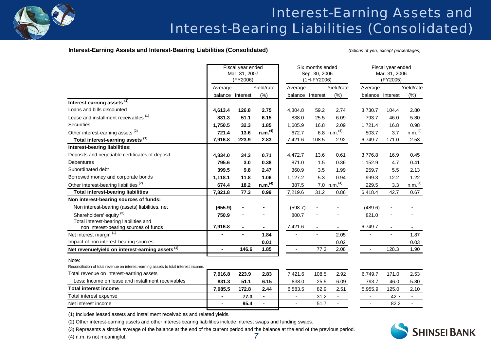

## Interest-Earning Assets and Interest-Bearing Liabilities (Consolidated)

### **Interest-Earning Assets and Interest-Bearing Liabilities (Consolidated)** *(billions of yen, except percentages)*

|                                                                                      |                | Fiscal year ended<br>Mar. 31, 2007<br>(FY2006) |                     |                          | Six months ended<br>Sep. 30, 2006<br>(1H-FY2006) |                           |                  | Fiscal year ended<br>Mar. 31, 2006<br>(FY2005) |                     |
|--------------------------------------------------------------------------------------|----------------|------------------------------------------------|---------------------|--------------------------|--------------------------------------------------|---------------------------|------------------|------------------------------------------------|---------------------|
|                                                                                      | Average        |                                                | Yield/rate          | Average                  |                                                  | Yield/rate                | Average          |                                                | Yield/rate          |
|                                                                                      |                | balance Interest                               | (%)                 |                          | balance Interest                                 | (%)                       | balance Interest |                                                | (%)                 |
| Interest-earning assets <sup>(1)</sup>                                               |                |                                                |                     |                          |                                                  |                           |                  |                                                |                     |
| Loans and bills discounted                                                           | 4,613.4        | 126.8                                          | 2.75                | 4,304.8                  | 59.2                                             | 2.74                      | 3,730.7          | 104.4                                          | 2.80                |
| Lease and installment receivables (1)                                                | 831.3          | 51.1                                           | 6.15                | 838.0                    | 25.5                                             | 6.09                      | 793.7            | 46.0                                           | 5.80                |
| Securities                                                                           | 1,750.5        | 32.3                                           | 1.85                | 1,605.9                  | 16.8                                             | 2.09                      | 1,721.4          | 16.8                                           | 0.98                |
| Other interest-earning assets <sup>(2)</sup>                                         | 721.4          | 13.6                                           | n.m. <sup>(4)</sup> | 672.7                    |                                                  | $6.8$ n.m. <sup>(4)</sup> | 503.7            | 3.7                                            | n.m. <sup>(4)</sup> |
| Total interest-earning assets (1)                                                    | 7,916.8        | 223.9                                          | 2.83                | 7,421.6                  | 108.5                                            | 2.92                      | 6,749.7          | 171.0                                          | 2.53                |
| Interest-bearing liabilities:                                                        |                |                                                |                     |                          |                                                  |                           |                  |                                                |                     |
| Deposits and negotiable certificates of deposit                                      | 4,834.0        | 34.3                                           | 0.71                | 4,472.7                  | 13.6                                             | 0.61                      | 3,776.8          | 16.9                                           | 0.45                |
| <b>Debentures</b>                                                                    | 795.6          | 3.0                                            | 0.38                | 871.0                    | 1.5                                              | 0.36                      | 1,152.9          | 4.7                                            | 0.41                |
| Subordinated debt                                                                    | 399.5          | 9.8                                            | 2.47                | 360.9                    | 3.5                                              | 1.99                      | 259.7            | 5.5                                            | 2.13                |
| Borrowed money and corporate bonds                                                   | 1,118.1        | 11.8                                           | 1.06                | 1,127.2                  | 5.3                                              | 0.94                      | 999.3            | 12.2                                           | 1.22                |
| Other interest-bearing liabilities <sup>(2)</sup>                                    | 674.4          | 18.2                                           | n.m. <sup>(4)</sup> | 387.5                    |                                                  | 7.0 n.m. <sup>(4)</sup>   | 229.5            | 3.3                                            | n.m. <sup>(4)</sup> |
| <b>Total interest-bearing liabilities</b>                                            | 7,821.8        | 77.3                                           | 0.99                | 7,219.6                  | 31.2                                             | 0.86                      | 6,418.4          | 42.7                                           | 0.67                |
| Non interest-bearing sources of funds:                                               |                |                                                |                     |                          |                                                  |                           |                  |                                                |                     |
| Non interest-bearing (assets) liabilities, net                                       | (655.9)        |                                                |                     | (598.7)                  |                                                  |                           | (489.6)          |                                                |                     |
| Shareholders' equity <sup>(3)</sup>                                                  | 750.9          |                                                |                     | 800.7                    |                                                  |                           | 821.0            |                                                |                     |
| Total interest-bearing liabilities and                                               |                |                                                |                     |                          |                                                  |                           |                  |                                                |                     |
| non interest-bearing sources of funds                                                | 7,916.8        |                                                |                     | 7,421.6                  | $\blacksquare$                                   |                           | 6,749.7          | $\mathbf{r}$                                   |                     |
| Net interest margin <sup>(1)</sup>                                                   |                | ٠                                              | 1.84                |                          | $\blacksquare$                                   | 2.05                      |                  | $\overline{a}$                                 | 1.87                |
| Impact of non interest-bearing sources                                               |                |                                                | 0.01                |                          |                                                  | 0.02                      |                  |                                                | 0.03                |
| Net revenue/yield on interest-earning assets <sup>(1)</sup>                          | $\blacksquare$ | 146.6                                          | 1.85                | $\overline{\phantom{a}}$ | 77.3                                             | 2.08                      |                  | 128.3                                          | 1.90                |
| Note:                                                                                |                |                                                |                     |                          |                                                  |                           |                  |                                                |                     |
| Reconciliation of total revenue on interest-earning assets to total interest income. |                |                                                |                     |                          |                                                  |                           |                  |                                                |                     |
| Total revenue on interest-earning assets                                             | 7,916.8        | 223.9                                          | 2.83                | 7,421.6                  | 108.5                                            | 2.92                      | 6,749.7          | 171.0                                          | 2.53                |
| Less: Income on lease and installment receivables                                    | 831.3          | 51.1                                           | 6.15                | 838.0                    | 25.5                                             | 6.09                      | 793.7            | 46.0                                           | 5.80                |
| <b>Total interest income</b>                                                         | 7,085.5        | 172.8                                          | 2.44                | 6,583.5                  | 82.9                                             | 2.51                      | 5,955.9          | 125.0                                          | 2.10                |
| Total interest expense                                                               |                | 77.3                                           |                     |                          | 31.2                                             |                           |                  | 42.7                                           |                     |
| Net interest income                                                                  |                | 95.4                                           |                     |                          | 51.7                                             |                           |                  | 82.2                                           |                     |

(1) Includes leased assets and installment receivables and related yields.

(2) Other interest-earning assets and other interest-bearing liabilities include interest swaps and funding swaps.

(3) Represents a simple average of the balance at the end of the current period and the balance at the end of the previous period.

(4) n.m. is not meaningful.

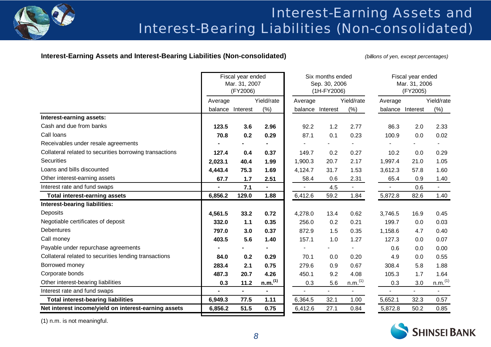

## Interest-Earning Assets and Interest-Bearing Liabilities (Non-consolidated)

### **Interest-Earning Assets and Interest-Bearing Liabilities (Non-consolidated)** *(billions of yen, except percentages)*

|                                                         |                | Fiscal year ended<br>Mar. 31, 2007<br>(FY2006) |                     |                          | Six months ended<br>Sep. 30, 2006<br>(1H-FY2006) |                     | Fiscal year ended<br>Mar. 31, 2006<br>(FY2005) |                |                          |  |
|---------------------------------------------------------|----------------|------------------------------------------------|---------------------|--------------------------|--------------------------------------------------|---------------------|------------------------------------------------|----------------|--------------------------|--|
|                                                         | Average        |                                                | Yield/rate          | Average                  |                                                  | Yield/rate          | Average                                        |                | Yield/rate               |  |
|                                                         |                | balance Interest                               | (% )                |                          | balance Interest                                 | (%)                 | balance Interest                               |                | (%)                      |  |
| Interest-earning assets:                                |                |                                                |                     |                          |                                                  |                     |                                                |                |                          |  |
| Cash and due from banks                                 | 123.5          | 3.6                                            | 2.96                | 92.2                     | 1.2                                              | 2.77                | 86.3                                           | 2.0            | 2.33                     |  |
| Call loans                                              | 70.8           | 0.2                                            | 0.29                | 87.1                     | 0.1                                              | 0.23                | 100.9                                          | 0.0            | 0.02                     |  |
| Receivables under resale agreements                     |                |                                                |                     |                          |                                                  |                     |                                                |                |                          |  |
| Collateral related to securities borrowing transactions | 127.4          | 0.4                                            | 0.37                | 149.7                    | 0.2                                              | 0.27                | 10.2                                           | 0.0            | 0.29                     |  |
| <b>Securities</b>                                       | 2,023.1        | 40.4                                           | 1.99                | 1,900.3                  | 20.7                                             | 2.17                | 1,997.4                                        | 21.0           | 1.05                     |  |
| Loans and bills discounted                              | 4,443.4        | 75.3                                           | 1.69                | 4,124.7                  | 31.7                                             | 1.53                | 3,612.3                                        | 57.8           | 1.60                     |  |
| Other interest-earning assets                           | 67.7           | 1.7                                            | 2.51                | 58.4                     | 0.6                                              | 2.31                | 65.4                                           | 0.9            | 1.40                     |  |
| Interest rate and fund swaps                            | $\blacksquare$ | 7.1                                            | $\blacksquare$      | $\overline{\phantom{a}}$ | 4.5                                              | $\blacksquare$      |                                                | 0.6            | $\blacksquare$           |  |
| <b>Total interest-earning assets</b>                    | 6,856.2        | 129.0                                          | 1.88                | 6,412.6                  | 59.2                                             | 1.84                | 5,872.8                                        | 82.6           | 1.40                     |  |
| Interest-bearing liabilities:                           |                |                                                |                     |                          |                                                  |                     |                                                |                |                          |  |
| Deposits                                                | 4,561.5        | 33.2                                           | 0.72                | 4,278.0                  | 13.4                                             | 0.62                | 3,746.5                                        | 16.9           | 0.45                     |  |
| Negotiable certificates of deposit                      | 332.0          | $1.1$                                          | 0.35                | 256.0                    | 0.2                                              | 0.21                | 199.7                                          | 0.0            | 0.03                     |  |
| <b>Debentures</b>                                       | 797.0          | 3.0                                            | 0.37                | 872.9                    | 1.5                                              | 0.35                | 1,158.6                                        | 4.7            | 0.40                     |  |
| Call money                                              | 403.5          | 5.6                                            | 1.40                | 157.1                    | 1.0                                              | 1.27                | 127.3                                          | 0.0            | 0.07                     |  |
| Payable under repurchase agreements                     |                |                                                |                     |                          |                                                  |                     | 0.6                                            | 0.0            | 0.00                     |  |
| Collateral related to securities lending transactions   | 84.0           | 0.2                                            | 0.29                | 70.1                     | 0.0                                              | 0.20                | 4.9                                            | 0.0            | 0.55                     |  |
| Borrowed money                                          | 283.4          | 2.1                                            | 0.75                | 279.6                    | 0.9                                              | 0.67                | 308.4                                          | 5.8            | 1.88                     |  |
| Corporate bonds                                         | 487.3          | 20.7                                           | 4.26                | 450.1                    | 9.2                                              | 4.08                | 105.3                                          | 1.7            | 1.64                     |  |
| Other interest-bearing liabilities                      | 0.3            | 11.2                                           | n.m. <sup>(1)</sup> | 0.3                      | 5.6                                              | n.m. <sup>(1)</sup> | 0.3                                            | 3.0            | n.m. <sup>(1)</sup>      |  |
| Interest rate and fund swaps                            | $\blacksquare$ | $\blacksquare$                                 | $\blacksquare$      | $\blacksquare$           | $\blacksquare$                                   | $\blacksquare$      | $\blacksquare$                                 | $\blacksquare$ | $\overline{\phantom{a}}$ |  |
| <b>Total interest-bearing liabilities</b>               | 6,949.3        | 77.5                                           | 1.11                | 6,364.5                  | 32.1                                             | 1.00                | 5,652.1                                        | 32.3           | 0.57                     |  |
| Net interest income/yield on interest-earning assets    | 6,856.2        | 51.5                                           | 0.75                | 6,412.6                  | 27.1                                             | 0.84                | 5,872.8                                        | 50.2           | 0.85                     |  |

(1) n.m. is not meaningful.

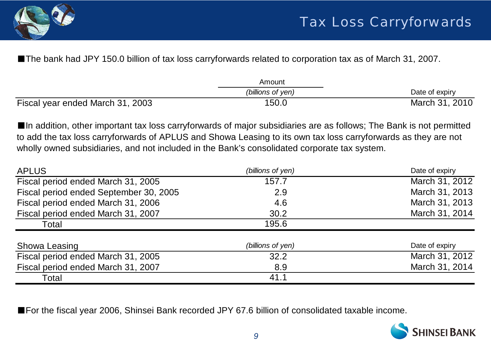

■The bank had JPY 150.0 billion of tax loss carryforwards related to corporation tax as of March 31, 2007.

|                                  | Amount            |                |
|----------------------------------|-------------------|----------------|
|                                  | (billions of yen) | Date of expiry |
| Fiscal year ended March 31, 2003 | 150.0             | March 31, 2010 |

■In addition, other important tax loss carryforwards of major subsidiaries are as follows; The Bank is not permitted to add the tax loss carryforwards of APLUS and Showa Leasing to its own tax loss carryforwards as they are not wholly owned subsidiaries, and not included in the Bank's consolidated corporate tax system.

| <b>APLUS</b>                           | (billions of yen) | Date of expiry |
|----------------------------------------|-------------------|----------------|
| Fiscal period ended March 31, 2005     | 157.7             | March 31, 2012 |
| Fiscal period ended September 30, 2005 | 2.9               | March 31, 2013 |
| Fiscal period ended March 31, 2006     | 4.6               | March 31, 2013 |
| Fiscal period ended March 31, 2007     | 30.2              | March 31, 2014 |
| Total                                  | 195.6             |                |
| Showa Leasing                          | (billions of yen) | Date of expiry |
| Fiscal period ended March 31, 2005     | 32.2              | March 31, 2012 |
| Fiscal period ended March 31, 2007     | 8.9               | March 31, 2014 |
| Total                                  | 41.1              |                |

■For the fiscal year 2006, Shinsei Bank recorded JPY 67.6 billion of consolidated taxable income.

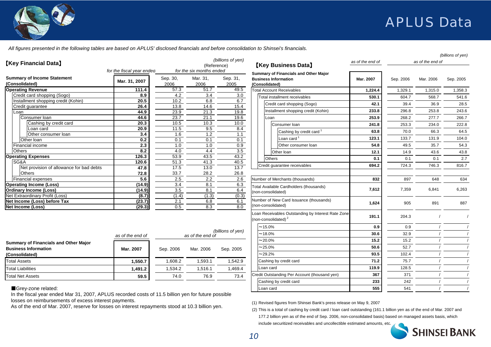

*All figures presented in the following tables are based on APLUS' disclosed financials and before consolidation to Shinsei's financials.*

| <b>[Key Financial Data]</b>                                                                                  | for the fiscal year ended |                   | (Reference)<br>for the six months ended | (billions of yen) | <b>[Key Business Data]</b>                                                             |           |           | as of the end of | (billions of yen) |
|--------------------------------------------------------------------------------------------------------------|---------------------------|-------------------|-----------------------------------------|-------------------|----------------------------------------------------------------------------------------|-----------|-----------|------------------|-------------------|
| <b>Summary of Income Statement</b><br>(Consolidated)                                                         | Mar. 31, 2007             | Sep. 30,<br>2006  | Mar. 31,<br>2006                        | Sep. 31,<br>2005  | Summary of Financials and Other Major<br><b>Business Information</b><br>(Consolidated) | Mar. 2007 | Sep. 2006 | Mar. 2006        | Sep. 2005         |
| <b>Operating Revenue</b>                                                                                     | 111.4                     | 57.3              | 51.7                                    | 49.5              | <b>Total Account Receivables</b>                                                       | 1,224.4   | 1,329.1   | 1,315.0          | 1,358.3           |
| Credit card shopping (Sogo)                                                                                  | 8.9                       | 4.2               | 3.4                                     | 3.0               | Total installment receivables                                                          | 530.1     | 604.7     | 568.7            | 541.6             |
| Installment shopping credit (Kohin)                                                                          | 20.5                      | 10.2              | 6.8                                     | 6.7               | Credit card shopping (Sogo)                                                            | 42.1      | 39.4      | 36.9             | 28.5              |
| Credit guarantee                                                                                             | 26.4<br>44.9              | 13.8<br>23.9      | 14.6<br>21.3                            | 15.4<br>19.8      | Installment shopping credit (Kohin)                                                    | 233.8     | 296.8     | 253.8            | 243.6             |
| Loan<br>Consumer Ioan                                                                                        | 44.6                      | $\overline{23.7}$ | 21.1                                    | 19.6              | Loan                                                                                   | 253.9     | 268.2     | 277.7            | 266.7             |
| Cashing by credit card                                                                                       | 20.3                      | 10.5              | 10.3                                    | 10.0              |                                                                                        |           |           |                  |                   |
| Loan card                                                                                                    | 20.9                      | 11.5              | 9.5                                     | 8.4               | Consumer loan                                                                          | 241.8     | 253.3     | 234.0            | 222.8             |
| Other consumer loan                                                                                          | 3.4                       | 1.6               | 1.2                                     | 1.1               | Cashing by credit card <sup>1</sup>                                                    | 63.8      | 70.0      | 66.3             | 64.5              |
| Other loan                                                                                                   | 0.2                       | 0.1               | 0.1                                     | 0.1               | Loan card <sup>1</sup>                                                                 | 123.1     | 133.7     | 131.9            | 104.0             |
| Financial income                                                                                             | 2.3                       | 1.0               | 1.0                                     | 0.9               | Other consumer loan                                                                    | 54.8      | 49.5      | 35.7             | 54.3              |
| <b>Others</b>                                                                                                | 8.2                       | 4.0               | 4.4                                     | 3.5               | Other loan                                                                             | 12.1      | 14.9      | 43.6             | 43.8              |
| <b>Operating Expenses</b>                                                                                    | 126.3                     | 53.9              | 43.5                                    | 43.2              | <b>Others</b>                                                                          | 0.1       | 0.1       | 0.1              | 2.7               |
| SG&A                                                                                                         | 120.6                     | 51.3              | 41.3                                    | 40.5              | Credit guarantee receivables                                                           | 694.2     | 724.3     | 746.3            | 816.7             |
| Net provision of allowance for bad debts<br><b>Others</b>                                                    | 47.8<br>72.8              | 17.5              | 13.0                                    | 13.7              |                                                                                        |           |           |                  |                   |
| <b>Financial expenses</b>                                                                                    | 5.6                       | 33.7<br>2.5       | 28.2<br>2.2                             | 26.8<br>2.6       | Number of Merchants (thousands)                                                        | 832       | 897       | 648              | 634               |
| <b>Operating Income (Loss)</b>                                                                               | (14.9)                    | 3.4               | 8.1                                     | 6.3               |                                                                                        |           |           |                  |                   |
| <b>Ordinary Income (Loss)</b>                                                                                | (14.9)                    | 3.5               | 8.1                                     | 6.4               | Total Available Cardholders (thousands)                                                | 7,612     | 7,359     | 6,841            | 6,263             |
| Net Extraordinary Profit (Loss)                                                                              | (8.7)                     | (1.4)             | (1.3)                                   | (0.3)             | (non-consolidated)                                                                     |           |           |                  |                   |
| Net Income (Loss) before Tax                                                                                 | (23.7)                    | 2.1               | 6.8                                     | 6.1               | Number of New Card Issuance (thousands)                                                | 1,624     | 905       | 891              | 887               |
| Net Income (Loss)                                                                                            | (29.3)                    | 0.5               | 8.3                                     | 8.0               | (non-consolidated)                                                                     |           |           |                  |                   |
|                                                                                                              |                           |                   |                                         |                   | Loan Receivables Outstanding by Interest Rate Zone<br>(non-consolidated) $2$           | 191.1     | 204.3     |                  |                   |
|                                                                                                              |                           |                   |                                         |                   | $~15.0\%$                                                                              | 0.9       | 0.9       |                  |                   |
|                                                                                                              | as of the end of          |                   | as of the end of                        | (billions of yen) | $-18.0\%$                                                                              | 30.6      | 32.9      |                  |                   |
| <b>Summary of Financials and Other Major</b>                                                                 |                           |                   |                                         |                   | $-20.0\%$                                                                              | 15.2      | 15.2      |                  |                   |
| <b>Business Information</b>                                                                                  | Mar. 2007                 | Sep. 2006         | Mar. 2006                               | Sep. 2005         | $-25.0\%$                                                                              | 50.6      | 52.7      |                  |                   |
| (Consolidated)                                                                                               |                           |                   |                                         |                   | $~29.2\%$                                                                              | 93.5      | 102.4     |                  |                   |
| <b>Total Assets</b>                                                                                          | 1,550.7                   | 1,608.2           | 1,593.1                                 | 1,542.9           | Cashing by credit card                                                                 | 71.2      | 75.7      |                  |                   |
| <b>Total Liabilities</b>                                                                                     | 1,491.2                   | 1,534.2           | 1,516.1                                 | 1,469.4           | Loan card                                                                              | 119.9     | 128.5     |                  |                   |
| <b>Total Net Assets</b>                                                                                      | 59.5                      | 74.0              | 76.9                                    | 73.4              | Credit Outstanding Per Account (thousand yen)                                          | 367       | 371       |                  |                   |
|                                                                                                              |                           |                   |                                         |                   | Cashing by credit card                                                                 | 233       | 242       |                  |                   |
| Grey-zone related:                                                                                           |                           |                   |                                         |                   | oan card.                                                                              | 555       | 541       |                  |                   |
| In the finest user anded Mex 24, 2007. ADLUC reserved at a sector of 44. E. billion use for future negotible |                           |                   |                                         |                   |                                                                                        |           |           |                  |                   |

(1) Revised figures from Shinsei Bank's press release on May 9, 2007

(2) This is a total of cashing by credit card / loan card outstanding (161.1 billion yen as of the end of Mar. 2007 and 177.2 billion yen as of the end of Sep. 2006, non-consolidated basis) based on managed assets basis, which

include securitized receivables and uncollectible estimated amounts, etc.



In the fiscal year ended Mar 31, 2007, APLUS recorded costs of 11.5 billion yen for future possible losses on reimbursements of excess interest payments.

As of the end of Mar. 2007, reserve for losses on interest repayments stood at 10.3 billion yen.

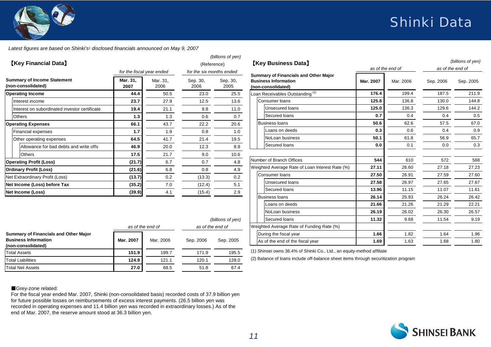## Shinki Data



*Latest figures are based on Shinki's1 disclosed financials announced on May 9, 2007*

| <b>Key Financial Data</b><br>for the fiscal year ended   |                  |                  | (billions of yen)<br>(Reference)<br>for the six months ended |                   | <b>Key Business Data</b><br>Summary of Financials and Other Major                   |           | as of the end of | (billions of yen)<br>as of the end of |           |
|----------------------------------------------------------|------------------|------------------|--------------------------------------------------------------|-------------------|-------------------------------------------------------------------------------------|-----------|------------------|---------------------------------------|-----------|
| <b>Summary of Income Statement</b><br>(non-consolidated) | Mar. 31,<br>2007 | Mar. 31,<br>2006 | Sep. 30,<br>2006                                             | Sep. 30,<br>2005  | <b>Business Information</b><br>(non-consolidated)                                   | Mar. 2007 | Mar. 2006        | Sep. 2006                             | Sep. 2005 |
| <b>Operating Income</b>                                  | 44.4             | 50.5             | 23.0                                                         | 25.5              | Loan Receivables Outstanding <sup>(2)</sup>                                         | 176.4     | 199.4            | 187.5                                 | 211.9     |
| Interest income                                          | 23.7             | 27.9             | 12.5                                                         | 13.6              | Consumer loans                                                                      | 125.8     | 136.8            | 130.0                                 | 144.8     |
| Interest on subordinated investor certificate            | 19.4             | 21.1             | 9.8                                                          | 11.0              | Unsecured loans                                                                     | 125.0     | 136.3            | 129.6                                 | 144.2     |
| <b>Others</b>                                            | 1.3              | 1.3              | 0.6                                                          | 0.7               | Secured loans                                                                       | 0.7       | 0.4              | 0.4                                   | 0.5       |
| <b>Operating Expenses</b>                                | 66.1             | 43.7             | 22.2                                                         | 20.6              | <b>Business loans</b>                                                               | 50.6      | 62.6             | 57.5                                  | 67.0      |
| <b>Financial expenses</b>                                | 1.7              | 1.9              | 0.8                                                          | 1.0               | Loans on deeds                                                                      | 0.3       | 0.6              | 0.4                                   | 0.9       |
| Other operating expenses                                 | 64.5             | 41.7             | 21.4                                                         | 19.5              | NoLoan business                                                                     | 50.1      | 61.8             | 56.9                                  | 65.7      |
| Allowance for bad debts and write offs                   | 46.9             | 20.0             | 12.3                                                         | 8.9               | Secured loans                                                                       | 0.0       | 0.1              | 0.0                                   | 0.3       |
| <b>Others</b>                                            | 17.5             | 21.7             | 9.0                                                          | 10.6              |                                                                                     |           |                  |                                       |           |
| <b>Operating Profit (Loss)</b>                           | (21.7)           | 6.7              | 0.7                                                          | 4.8               | Number of Branch Offices                                                            | 544       | 610              | 572                                   | 568       |
| <b>Ordinary Profit (Loss)</b>                            | (21.6)           | 6.8              | 0.8                                                          | 4.9               | Weighted Average Rate of Loan Interest Rate (%)                                     | 27.11     | 26.60            | 27.18                                 | 27.23     |
| Net Extraordinary Profit (Loss)                          | (13.7)           | 0.2              | (13.3)                                                       | 0.2               | Consumer loans                                                                      | 27.50     | 26.91            | 27.59                                 | 27.60     |
| Net Income (Loss) before Tax                             | (35.2)           | 7.0              | (12.4)                                                       | 5.1               | Unsecured loans                                                                     | 27.58     | 26.97            | 27.65                                 | 27.67     |
| <b>Net Income (Loss)</b>                                 | (39.9)           | 4.1              | (15.4)                                                       | 2.9               | Secured loans                                                                       | 13.96     | 11.15            | 11.07                                 | 11.61     |
|                                                          |                  |                  |                                                              |                   | <b>Business loans</b>                                                               | 26.14     | 25.93            | 26.24                                 | 26.42     |
|                                                          |                  |                  |                                                              |                   | Loans on deeds                                                                      | 21.66     | 21.26            | 21.29                                 | 22.21     |
|                                                          |                  |                  |                                                              |                   | NoLoan business                                                                     | 26.19     | 26.02            | 26.30                                 | 26.57     |
|                                                          |                  |                  |                                                              | (billions of yen) | Secured loans                                                                       | 11.32     | 9.68             | 11.54                                 | 9.19      |
|                                                          | as of the end of |                  | as of the end of                                             |                   | Weighted Average Rate of Funding Rate (%)                                           |           |                  |                                       |           |
| <b>Summary of Financials and Other Major</b>             |                  |                  |                                                              |                   | During the fiscal year                                                              | 1.66      | 1.82             | 1.64                                  | 1.96      |
| <b>Business Information</b><br>(non-consolidated)        | Mar. 2007        | Mar. 2006        | Sep. 2006                                                    | Sep. 2005         | As of the end of the fiscal year                                                    | 1.69      | 1.63             | 1.68                                  | 1.80      |
| <b>Total Assets</b>                                      | 151.9            | 189.7            | 171.9                                                        | 195.5             | (1) Shinsei owns 36.4% of Shinki Co., Ltd., an equity-method affiliate              |           |                  |                                       |           |
| <b>Total Liabilities</b>                                 | 124.9            | 121.1            | 120.1                                                        | 128.0             | (2) Balance of loans include off-balance sheet items through securitization program |           |                  |                                       |           |

68.5 51.8 67.4

### Grey-zone related:

Total Net Assets

For the fiscal year ended Mar. 2007, Shinki (non-consolidated basis) recorded costs of 37.9 billion yen for future possible losses on reimbursements of excess interest payments. (26.5 billion yen was recorded in operating expenses and 11.4 billion yen was recorded in extraordinary losses.) As of the end of Mar. 2007, the reserve amount stood at 36.3 billion yen.

**27.0**

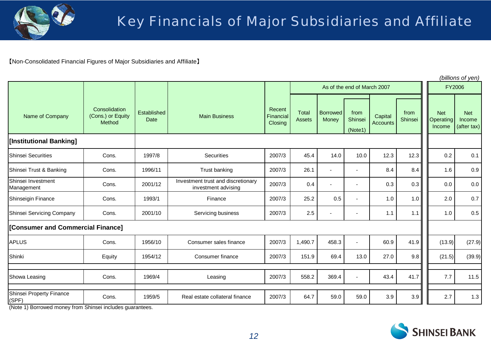

【Non-Consolidated Financial Figures of Major Subsidiaries and Affiliate】

|                                   |                                              |                            |                                                           |                                |                        |                          |                             |                            |                 |                                   | (billions of yen)                   |
|-----------------------------------|----------------------------------------------|----------------------------|-----------------------------------------------------------|--------------------------------|------------------------|--------------------------|-----------------------------|----------------------------|-----------------|-----------------------------------|-------------------------------------|
|                                   |                                              |                            |                                                           |                                |                        |                          | As of the end of March 2007 |                            |                 | <b>FY2006</b>                     |                                     |
| Name of Company                   | Consolidation<br>(Cons.) or Equity<br>Method | Established<br><b>Date</b> | <b>Main Business</b>                                      | Recent<br>Financial<br>Closing | Total<br><b>Assets</b> | <b>Borrowed</b><br>Money | from<br>Shinsei<br>(Note1)  | Capital<br><b>Accounts</b> | from<br>Shinsei | <b>Net</b><br>Operating<br>Income | <b>Net</b><br>Income<br>(after tax) |
| [Institutional Banking]           |                                              |                            |                                                           |                                |                        |                          |                             |                            |                 |                                   |                                     |
| <b>Shinsei Securities</b>         | Cons.                                        | 1997/8                     | Securities                                                | 2007/3                         | 45.4                   | 14.0                     | 10.0                        | 12.3                       | 12.3            | 0.2                               | 0.1                                 |
| Shinsei Trust & Banking           | Cons.                                        | 1996/11                    | Trust banking                                             | 2007/3                         | 26.1                   | $\blacksquare$           | $\blacksquare$              | 8.4                        | 8.4             | 1.6                               | 0.9                                 |
| Shinsei Investment<br>Management  | Cons.                                        | 2001/12                    | Investment trust and discretionary<br>investment advising | 2007/3                         | 0.4                    |                          | $\blacksquare$              | 0.3                        | 0.3             | 0.0                               | 0.0                                 |
| Shinseigin Finance                | Cons.                                        | 1993/1                     | Finance                                                   | 2007/3                         | 25.2                   | 0.5                      | $\sim$                      | 1.0                        | 1.0             | 2.0                               | 0.7                                 |
| Shinsei Servicing Company         | Cons.                                        | 2001/10                    | Servicing business                                        |                                | 2.5                    |                          | $\blacksquare$              | 1.1                        | 1.1             | 1.0                               | 0.5                                 |
| [Consumer and Commercial Finance] |                                              |                            |                                                           |                                |                        |                          |                             |                            |                 |                                   |                                     |
| <b>APLUS</b>                      | Cons.                                        | 1956/10                    | Consumer sales finance                                    | 2007/3                         | 1,490.7                | 458.3                    | $\overline{a}$              | 60.9                       | 41.9            | (13.9)                            | (27.9)                              |
| Shinki                            | Equity                                       | 1954/12                    | Consumer finance                                          | 2007/3                         | 151.9                  | 69.4                     | 13.0                        | 27.0                       | 9.8             | (21.5)                            | (39.9)                              |
|                                   |                                              |                            |                                                           |                                |                        |                          |                             |                            |                 |                                   |                                     |
| Showa Leasing                     | Cons.                                        | 1969/4                     | Leasing                                                   | 2007/3                         | 558.2                  | 369.4                    | $\blacksquare$              | 43.4                       | 41.7            | 7.7                               | 11.5                                |
| Shinsei Property Finance<br>(SPF) | Cons.                                        | 1959/5                     | Real estate collateral finance                            | 2007/3                         | 64.7                   | 59.0                     | 59.0                        | 3.9                        | 3.9             | 2.7                               | 1.3                                 |

(Note 1) Borrowed money from Shinsei includes guarantees.